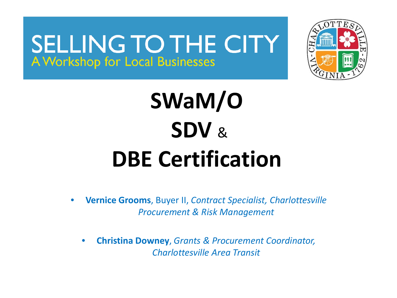

# **SWaM/O SDV** & **DBE Certification**

• **Vernice Grooms**, Buyer II, *Contract Specialist, Charlottesville Procurement & Risk Management*

• **Christina Downey**, *Grants & Procurement Coordinator, Charlottesville Area Transit*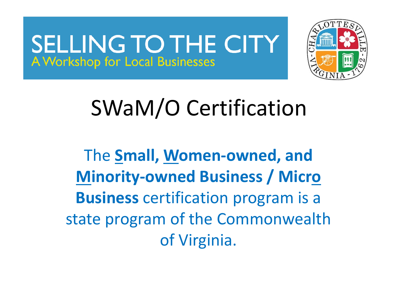

# SWaM/O Certification

The **Small, Women-owned, and Minority-owned Business / Micro Business** certification program is a state program of the Commonwealth of Virginia.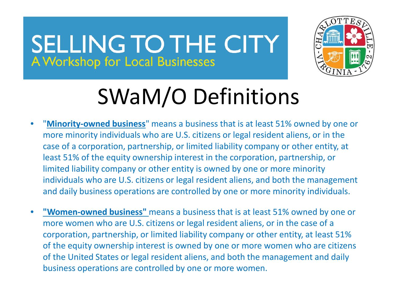

# SWaM/O Definitions

- "**Minority-owned business**" means a business that is at least 51% owned by one or more minority individuals who are U.S. citizens or legal resident aliens, or in the case of a corporation, partnership, or limited liability company or other entity, at least 51% of the equity ownership interest in the corporation, partnership, or limited liability company or other entity is owned by one or more minority individuals who are U.S. citizens or legal resident aliens, and both the management and daily business operations are controlled by one or more minority individuals.
- **"Women-owned business"** means a business that is at least 51% owned by one or more women who are U.S. citizens or legal resident aliens, or in the case of a corporation, partnership, or limited liability company or other entity, at least 51% of the equity ownership interest is owned by one or more women who are citizens of the United States or legal resident aliens, and both the management and daily business operations are controlled by one or more women.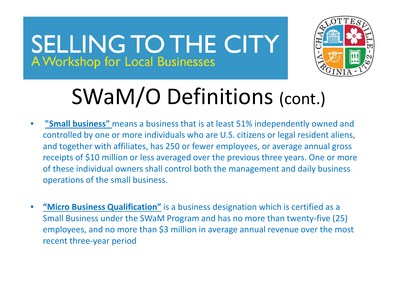

# SWaM/O Definitions (cont.)

- **"Small business"** means a business that is at least 51% independently owned and controlled by one or more individuals who are U.S. citizens or legal resident aliens, and together with affiliates, has 250 or fewer employees, or average annual gross receipts of \$10 million or less averaged over the previous three years. One or more of these individual owners shall control both the management and daily business operations of the small business.
- **"Micro Business Qualification"** is a business designation which is certified as a Small Business under the SWaM Program and has no more than twenty-five (25) employees, and no more than \$3 million in average annual revenue over the most recent three-year period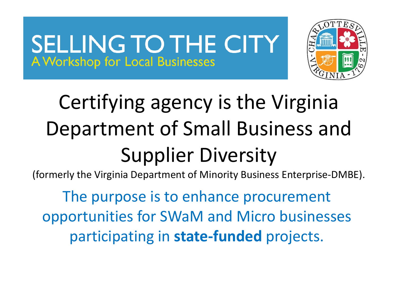

# Certifying agency is the Virginia Department of Small Business and Supplier Diversity

(formerly the Virginia Department of Minority Business Enterprise-DMBE).

The purpose is to enhance procurement opportunities for SWaM and Micro businesses participating in **state-funded** projects.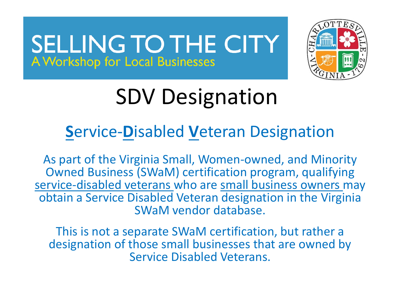

# SDV Designation

#### **S**ervice-**D**isabled **V**eteran Designation

As part of the Virginia Small, Women-owned, and Minority Owned Business (SWaM) certification program, qualifying service-disabled veterans who are small business owners may obtain a Service Disabled Veteran designation in the Virginia SWaM vendor database.

This is not a separate SWaM certification, but rather a designation of those small businesses that are owned by Service Disabled Veterans.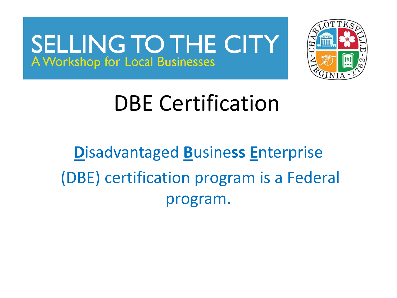

### DBE Certification

### **D**isadvantaged **B**usine**ss E**nterprise (DBE) certification program is a Federal program.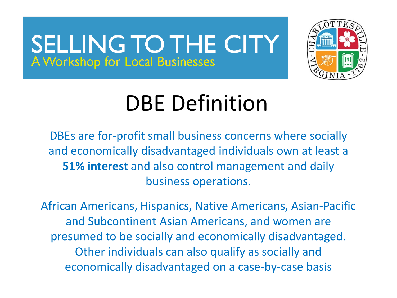

# DBE Definition

DBEs are for-profit small business concerns where socially and economically disadvantaged individuals own at least a **51% interest** and also control management and daily business operations.

African Americans, Hispanics, Native Americans, Asian-Pacific and Subcontinent Asian Americans, and women are presumed to be socially and economically disadvantaged. Other individuals can also qualify as socially and economically disadvantaged on a case-by-case basis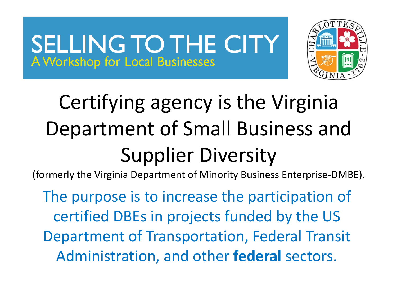

# Certifying agency is the Virginia Department of Small Business and Supplier Diversity

(formerly the Virginia Department of Minority Business Enterprise-DMBE).

The purpose is to increase the participation of certified DBEs in projects funded by the US Department of Transportation, Federal Transit Administration, and other **federal** sectors.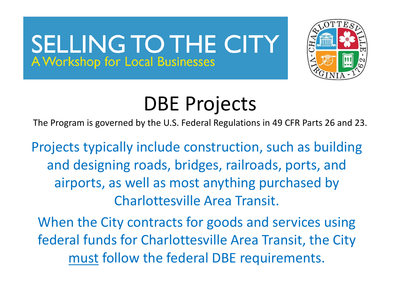

### DBE Projects

The Program is governed by the U.S. Federal Regulations in 49 CFR Parts 26 and 23.

Projects typically include construction, such as building and designing roads, bridges, railroads, ports, and airports, as well as most anything purchased by Charlottesville Area Transit.

When the City contracts for goods and services using federal funds for Charlottesville Area Transit, the City must follow the federal DBE requirements.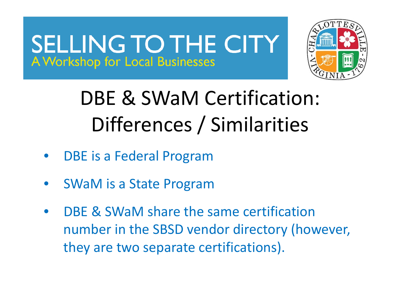

### DBE & SWaM Certification: Differences / Similarities

- DBE is a Federal Program
- SWaM is a State Program
- DBE & SWaM share the same certification number in the SBSD vendor directory (however, they are two separate certifications).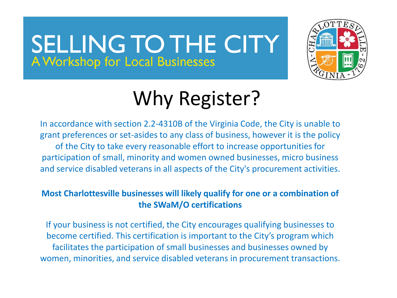

### Why Register?

In accordance with section 2.2-4310B of the Virginia Code, the City is unable to grant preferences or set-asides to any class of business, however it is the policy of the City to take every reasonable effort to increase opportunities for participation of small, minority and women owned businesses, micro business and service disabled veterans in all aspects of the City's procurement activities.

#### **Most Charlottesville businesses will likely qualify for one or a combination of the SWaM/O certifications**

If your business is not certified, the City encourages qualifying businesses to become certified. This certification is important to the City's program which facilitates the participation of small businesses and businesses owned by women, minorities, and service disabled veterans in procurement transactions.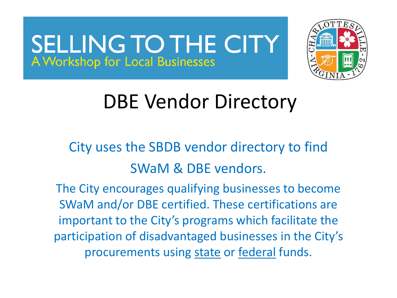

### DBE Vendor Directory

City uses the SBDB vendor directory to find SWaM & DBE vendors.

The City encourages qualifying businesses to become SWaM and/or DBE certified. These certifications are important to the City's programs which facilitate the participation of disadvantaged businesses in the City's procurements using state or federal funds.